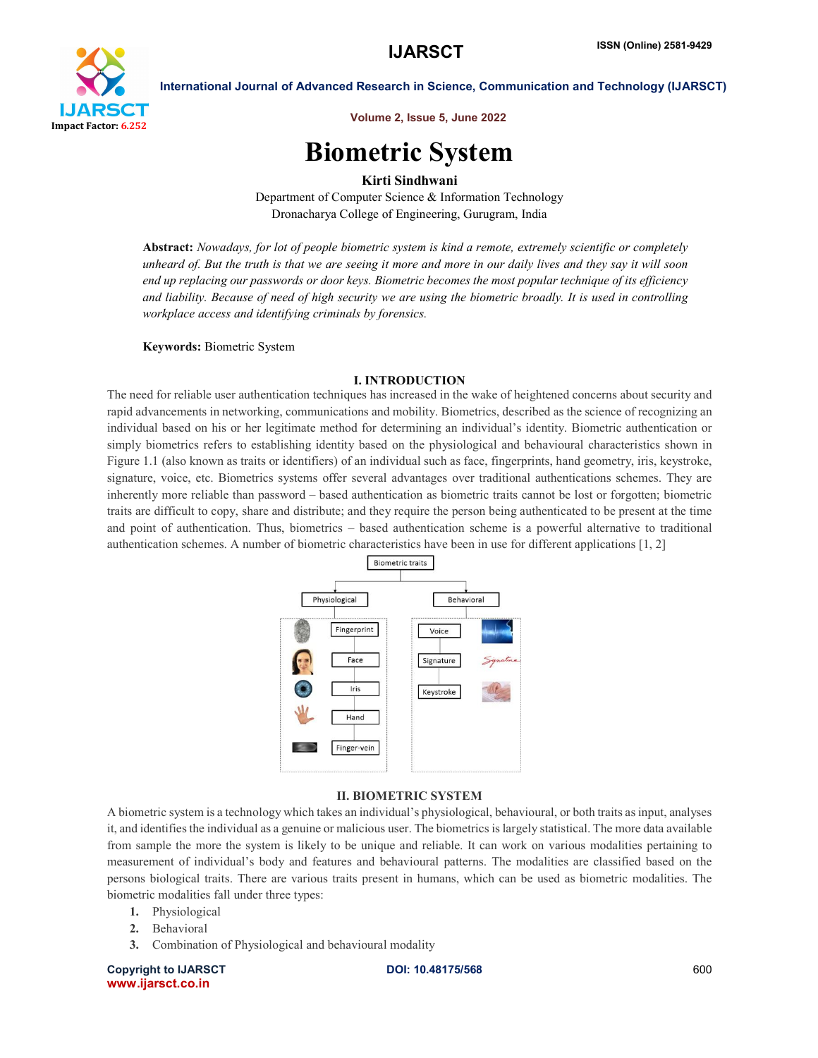

Volume 2, Issue 5, June 2022

# Biometric System

# Kirti Sindhwani

Department of Computer Science & Information Technology Dronacharya College of Engineering, Gurugram, India

Abstract: *Nowadays, for lot of people biometric system is kind a remote, extremely scientific or completely unheard of. But the truth is that we are seeing it more and more in our daily lives and they say it will soon end up replacing our passwords or door keys. Biometric becomes the most popular technique of its efficiency and liability. Because of need of high security we are using the biometric broadly. It is used in controlling workplace access and identifying criminals by forensics.*

### Keywords: Biometric System

### I. INTRODUCTION

The need for reliable user authentication techniques has increased in the wake of heightened concerns about security and rapid advancements in networking, communications and mobility. Biometrics, described as the science of recognizing an individual based on his or her legitimate method for determining an individual's identity. Biometric authentication or simply biometrics refers to establishing identity based on the physiological and behavioural characteristics shown in Figure 1.1 (also known as traits or identifiers) of an individual such as face, fingerprints, hand geometry, iris, keystroke, signature, voice, etc. Biometrics systems offer several advantages over traditional authentications schemes. They are inherently more reliable than password – based authentication as biometric traits cannot be lost or forgotten; biometric traits are difficult to copy, share and distribute; and they require the person being authenticated to be present at the time and point of authentication. Thus, biometrics – based authentication scheme is a powerful alternative to traditional authentication schemes. A number of biometric characteristics have been in use for different applications [1, 2]



# II. BIOMETRIC SYSTEM

A biometric system is a technology which takes an individual's physiological, behavioural, or both traits as input, analyses it, and identifies the individual as a genuine or malicious user. The biometrics is largely statistical. The more data available from sample the more the system is likely to be unique and reliable. It can work on various modalities pertaining to measurement of individual's body and features and behavioural patterns. The modalities are classified based on the persons biological traits. There are various traits present in humans, which can be used as biometric modalities. The biometric modalities fall under three types:

- 1. Physiological
- 2. Behavioral
- 3. Combination of Physiological and behavioural modality

Copyright to IJARSCT **DOI: 10.48175/568** 600 www.ijarsct.co.in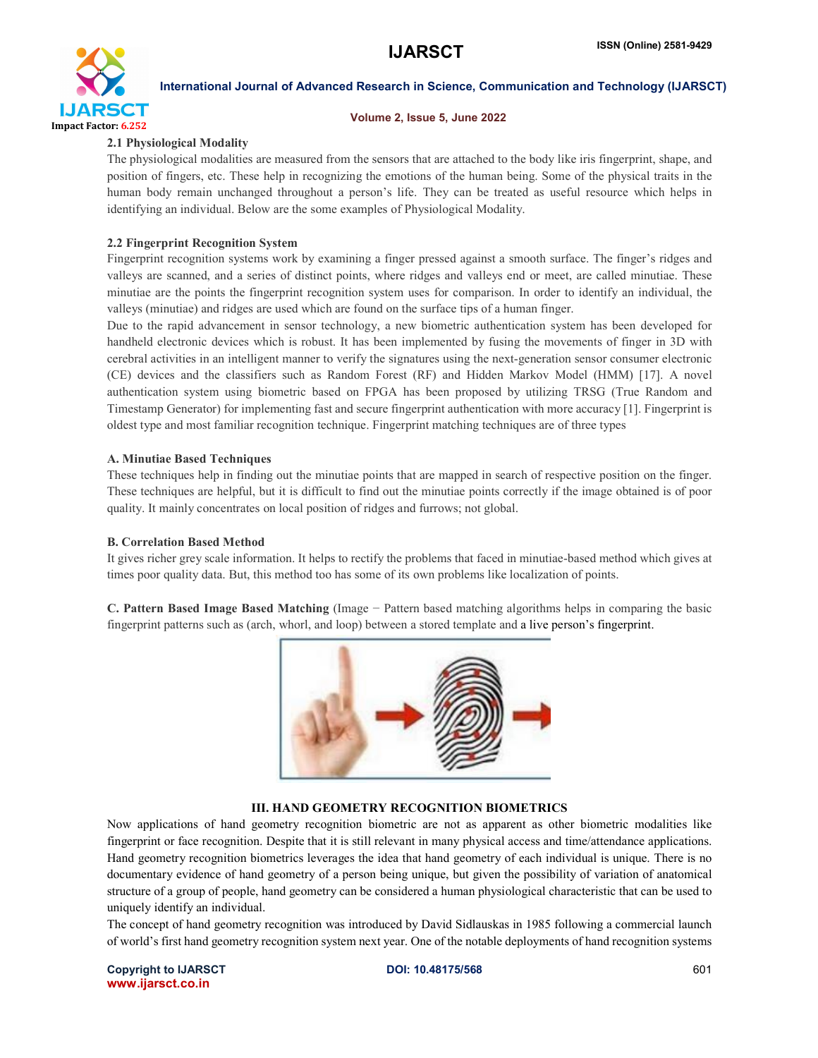

#### Volume 2, Issue 5, June 2022

#### 2.1 Physiological Modality

The physiological modalities are measured from the sensors that are attached to the body like iris fingerprint, shape, and position of fingers, etc. These help in recognizing the emotions of the human being. Some of the physical traits in the human body remain unchanged throughout a person's life. They can be treated as useful resource which helps in identifying an individual. Below are the some examples of Physiological Modality.

#### 2.2 Fingerprint Recognition System

Fingerprint recognition systems work by examining a finger pressed against a smooth surface. The finger's ridges and valleys are scanned, and a series of distinct points, where ridges and valleys end or meet, are called minutiae. These minutiae are the points the fingerprint recognition system uses for comparison. In order to identify an individual, the valleys (minutiae) and ridges are used which are found on the surface tips of a human finger.

Due to the rapid advancement in sensor technology, a new biometric authentication system has been developed for handheld electronic devices which is robust. It has been implemented by fusing the movements of finger in 3D with cerebral activities in an intelligent manner to verify the signatures using the next-generation sensor consumer electronic (CE) devices and the classifiers such as Random Forest (RF) and Hidden Markov Model (HMM) [17]. A novel authentication system using biometric based on FPGA has been proposed by utilizing TRSG (True Random and Timestamp Generator) for implementing fast and secure fingerprint authentication with more accuracy [1]. Fingerprint is oldest type and most familiar recognition technique. Fingerprint matching techniques are of three types

#### A. Minutiae Based Techniques

These techniques help in finding out the minutiae points that are mapped in search of respective position on the finger. These techniques are helpful, but it is difficult to find out the minutiae points correctly if the image obtained is of poor quality. It mainly concentrates on local position of ridges and furrows; not global.

#### B. Correlation Based Method

It gives richer grey scale information. It helps to rectify the problems that faced in minutiae-based method which gives at times poor quality data. But, this method too has some of its own problems like localization of points.

C. Pattern Based Image Based Matching (Image − Pattern based matching algorithms helps in comparing the basic fingerprint patterns such as (arch, whorl, and loop) between a stored template and a live person's fingerprint.



# III. HAND GEOMETRY RECOGNITION BIOMETRICS

Now applications of hand geometry recognition biometric are not as apparent as other biometric modalities like fingerprint or face recognition. Despite that it is still relevant in many physical access and time/attendance applications. Hand geometry recognition biometrics leverages the idea that hand geometry of each individual is unique. There is no documentary evidence of hand geometry of a person being unique, but given the possibility of variation of anatomical structure of a group of people, hand geometry can be considered a human physiological characteristic that can be used to uniquely identify an individual.

The concept of hand geometry recognition was introduced by David Sidlauskas in 1985 following a commercial launch of world's first hand geometry recognition system next year. One of the notable deployments of hand recognition systems

Copyright to IJARSCT **DOI: 10.48175/568** 601 www.ijarsct.co.in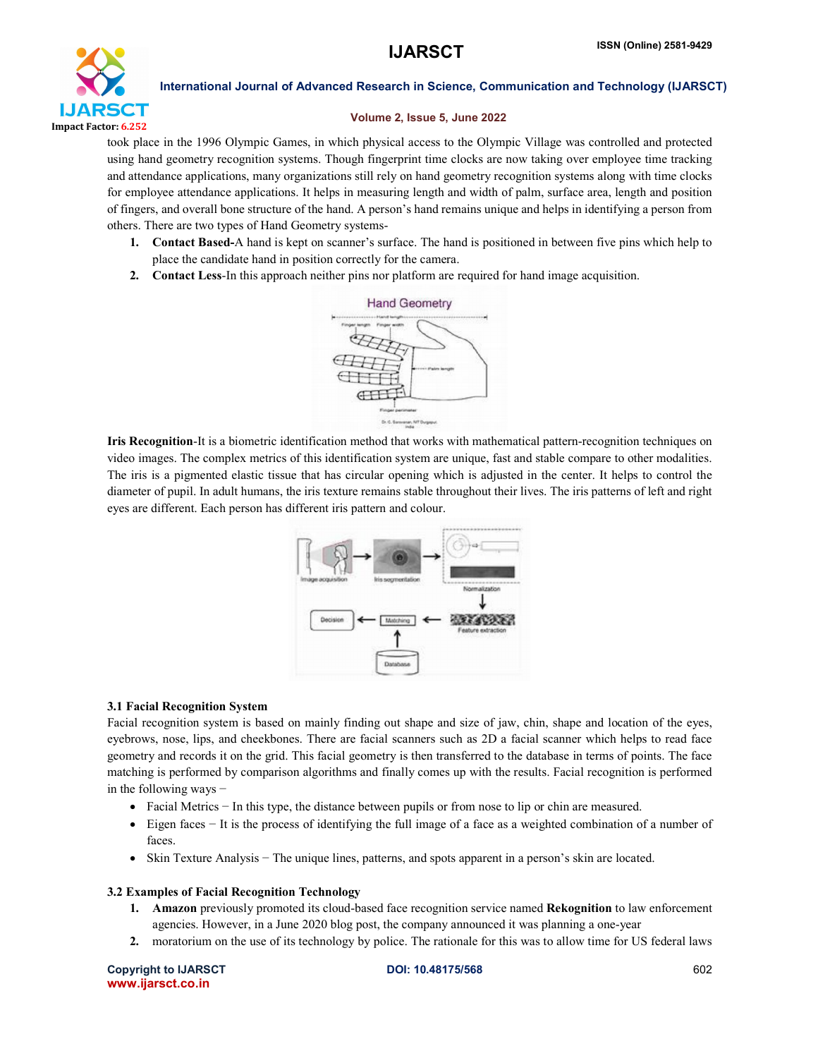

# Volume 2, Issue 5, June 2022

took place in the 1996 Olympic Games, in which physical access to the Olympic Village was controlled and protected using hand geometry recognition systems. Though fingerprint time clocks are now taking over employee time tracking and attendance applications, many organizations still rely on hand geometry recognition systems along with time clocks for employee attendance applications. It helps in measuring length and width of palm, surface area, length and position of fingers, and overall bone structure of the hand. A person's hand remains unique and helps in identifying a person from others. There are two types of Hand Geometry systems-

- 1. Contact Based-A hand is kept on scanner's surface. The hand is positioned in between five pins which help to place the candidate hand in position correctly for the camera.
- 2. Contact Less-In this approach neither pins nor platform are required for hand image acquisition.



Iris Recognition-It is a biometric identification method that works with mathematical pattern-recognition techniques on video images. The complex metrics of this identification system are unique, fast and stable compare to other modalities. The iris is a pigmented elastic tissue that has circular opening which is adjusted in the center. It helps to control the diameter of pupil. In adult humans, the iris texture remains stable throughout their lives. The iris patterns of left and right eyes are different. Each person has different iris pattern and colour.



# 3.1 Facial Recognition System

Facial recognition system is based on mainly finding out shape and size of jaw, chin, shape and location of the eyes, eyebrows, nose, lips, and cheekbones. There are facial scanners such as 2D a facial scanner which helps to read face geometry and records it on the grid. This facial geometry is then transferred to the database in terms of points. The face matching is performed by comparison algorithms and finally comes up with the results. Facial recognition is performed in the following ways −

- Facial Metrics − In this type, the distance between pupils or from nose to lip or chin are measured.
- Eigen faces − It is the process of identifying the full image of a face as a weighted combination of a number of faces.
- Skin Texture Analysis − The unique lines, patterns, and spots apparent in a person's skin are located.

# 3.2 Examples of Facial Recognition Technology

- 1. Amazon previously promoted its cloud-based face recognition service named Rekognition to law enforcement agencies. However, in a June 2020 blog post, the company announced it was planning a one-year
- 2. moratorium on the use of its technology by police. The rationale for this was to allow time for US federal laws

Copyright to IJARSCT **DOI: 10.48175/568** 602 www.ijarsct.co.in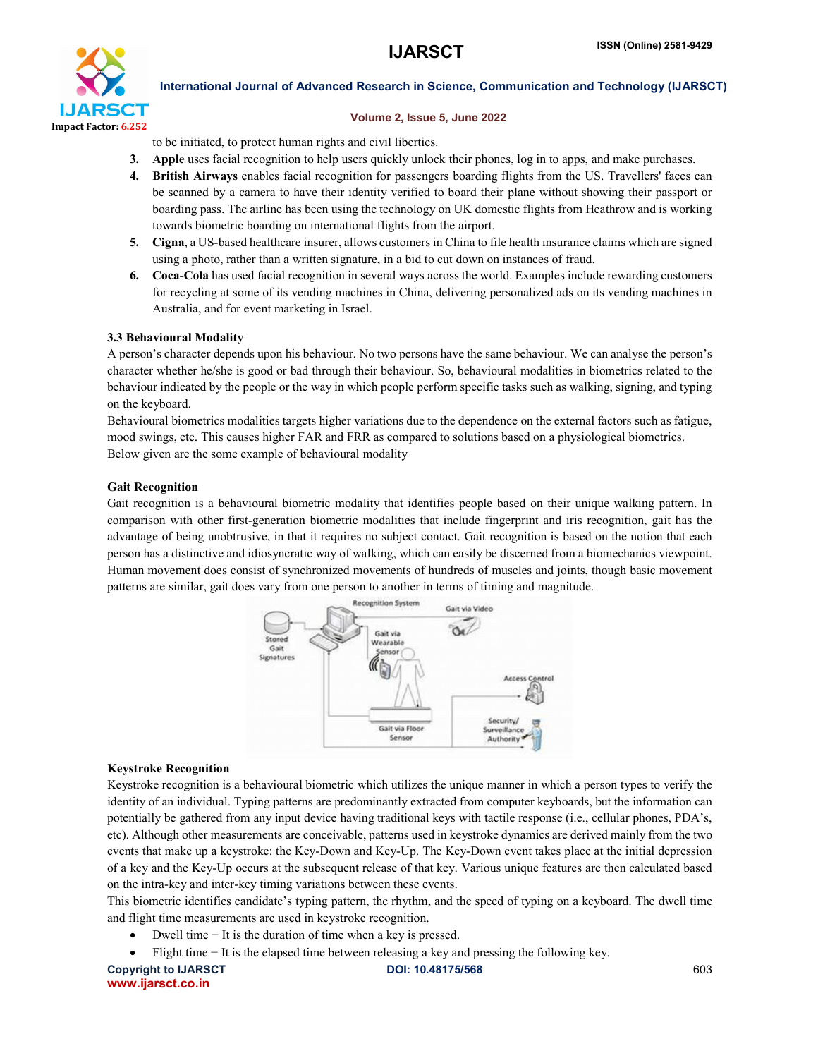

#### Volume 2, Issue 5, June 2022

to be initiated, to protect human rights and civil liberties.

- 3. Apple uses facial recognition to help users quickly unlock their phones, log in to apps, and make purchases.
- 4. British Airways enables facial recognition for passengers boarding flights from the US. Travellers' faces can be scanned by a camera to have their identity verified to board their plane without showing their passport or boarding pass. The airline has been using the technology on UK domestic flights from Heathrow and is working towards biometric boarding on international flights from the airport.
- 5. Cigna, a US-based healthcare insurer, allows customers in China to file health insurance claims which are signed using a photo, rather than a written signature, in a bid to cut down on instances of fraud.
- 6. Coca-Cola has used facial recognition in several ways across the world. Examples include rewarding customers for recycling at some of its vending machines in China, delivering personalized ads on its vending machines in Australia, and for event marketing in Israel.

### 3.3 Behavioural Modality

A person's character depends upon his behaviour. No two persons have the same behaviour. We can analyse the person's character whether he/she is good or bad through their behaviour. So, behavioural modalities in biometrics related to the behaviour indicated by the people or the way in which people perform specific tasks such as walking, signing, and typing on the keyboard.

Behavioural biometrics modalities targets higher variations due to the dependence on the external factors such as fatigue, mood swings, etc. This causes higher FAR and FRR as compared to solutions based on a physiological biometrics. Below given are the some example of behavioural modality

#### Gait Recognition

Gait recognition is a behavioural biometric modality that identifies people based on their unique walking pattern. In comparison with other first-generation biometric modalities that include fingerprint and iris recognition, gait has the advantage of being unobtrusive, in that it requires no subject contact. Gait recognition is based on the notion that each person has a distinctive and idiosyncratic way of walking, which can easily be discerned from a biomechanics viewpoint. Human movement does consist of synchronized movements of hundreds of muscles and joints, though basic movement patterns are similar, gait does vary from one person to another in terms of timing and magnitude.



# Keystroke Recognition

Keystroke recognition is a behavioural biometric which utilizes the unique manner in which a person types to verify the identity of an individual. Typing patterns are predominantly extracted from computer keyboards, but the information can potentially be gathered from any input device having traditional keys with tactile response (i.e., cellular phones, PDA's, etc). Although other measurements are conceivable, patterns used in keystroke dynamics are derived mainly from the two events that make up a keystroke: the Key-Down and Key-Up. The Key-Down event takes place at the initial depression of a key and the Key-Up occurs at the subsequent release of that key. Various unique features are then calculated based on the intra-key and inter-key timing variations between these events.

This biometric identifies candidate's typing pattern, the rhythm, and the speed of typing on a keyboard. The dwell time and flight time measurements are used in keystroke recognition.

- Dwell time − It is the duration of time when a key is pressed.
- Flight time − It is the elapsed time between releasing a key and pressing the following key.

www.ijarsct.co.in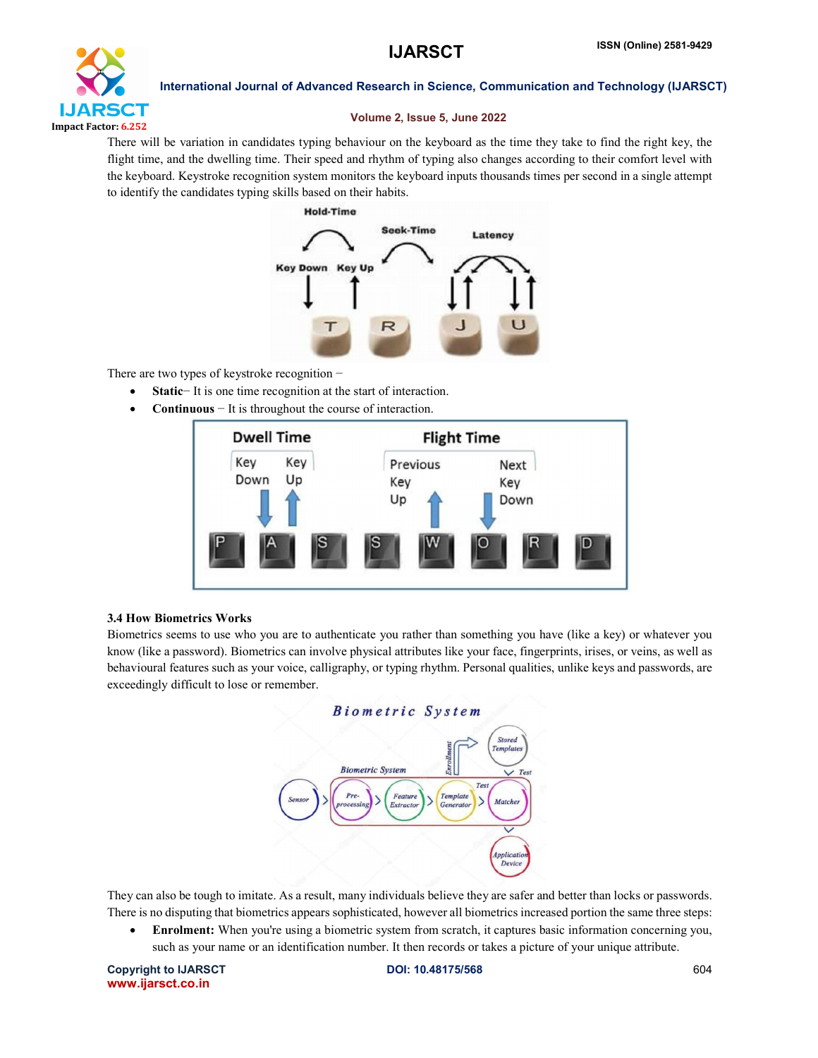

# Volume 2, Issue 5, June 2022

There will be variation in candidates typing behaviour on the keyboard as the time they take to find the right key, the flight time, and the dwelling time. Their speed and rhythm of typing also changes according to their comfort level with the keyboard. Keystroke recognition system monitors the keyboard inputs thousands times per second in a single attempt to identify the candidates typing skills based on their habits.





There are two types of keystroke recognition −

- Static− It is one time recognition at the start of interaction.
- Continuous − It is throughout the course of interaction.



# 3.4 How Biometrics Works

Biometrics seems to use who you are to authenticate you rather than something you have (like a key) or whatever you know (like a password). Biometrics can involve physical attributes like your face, fingerprints, irises, or veins, as well as behavioural features such as your voice, calligraphy, or typing rhythm. Personal qualities, unlike keys and passwords, are exceedingly difficult to lose or remember.



They can also be tough to imitate. As a result, many individuals believe they are safer and better than locks or passwords. There is no disputing that biometrics appears sophisticated, however all biometrics increased portion the same three steps:

 Enrolment: When you're using a biometric system from scratch, it captures basic information concerning you, such as your name or an identification number. It then records or takes a picture of your unique attribute.

Copyright to IJARSCT **DOI: 10.48175/568** 604 www.ijarsct.co.in